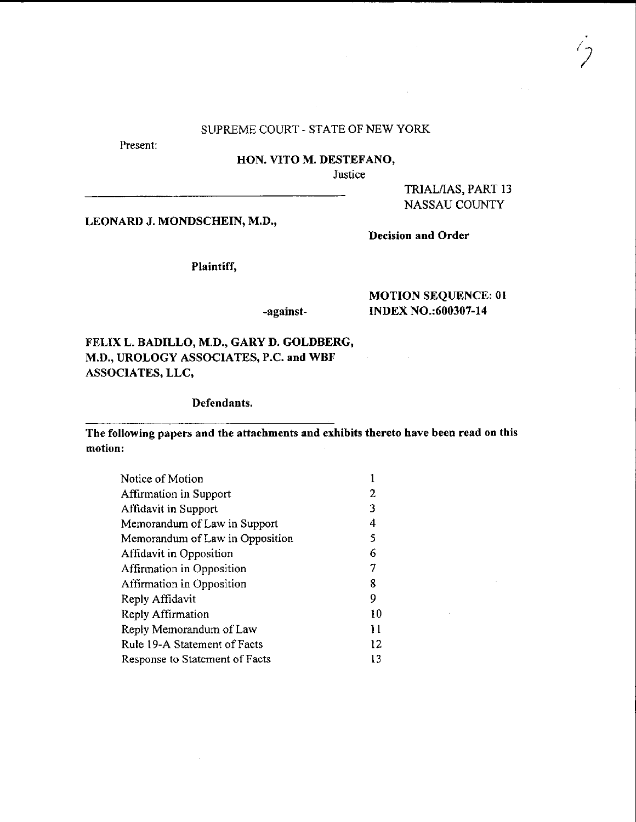## SUPREME COURT . STATE OF NEW YORK

Present:

#### HON. VITO M. DESTEFANO,

Justice

TRIAL/IAS, PART 13 NASSAU COUNTY

LEONARD J. MONDSCHEIN. M.D.,

Plaintiff,

## -against-

## MOTION SEQUENCE:01 INDEX NO.:600307-14

Decision and Order

FELIXL. BADILLO, M.D,, GARYD. GOLDBERG, M.D., UROLOGY ASSOCIATES, P.C. and WBF ASSOCIATES. LLC.

Defendants.

The following papers and thc attachments and exhibits thereto have been read on this motion:

| Notice of Motion                |    |
|---------------------------------|----|
| Affirmation in Support          | 2  |
| Affidavit in Support            | 3  |
| Memorandum of Law in Support    | 4  |
| Memorandum of Law in Opposition | 5  |
| Affidavit in Opposition         | 6  |
| Affirmation in Opposition       | 7  |
| Affirmation in Opposition       | 8  |
| Reply Affidavit                 | 9  |
| Reply Affirmation               | 10 |
| Reply Memorandum of Law         | 11 |
| Rule 19-A Statement of Facts    | 12 |
| Response to Statement of Facts  | 13 |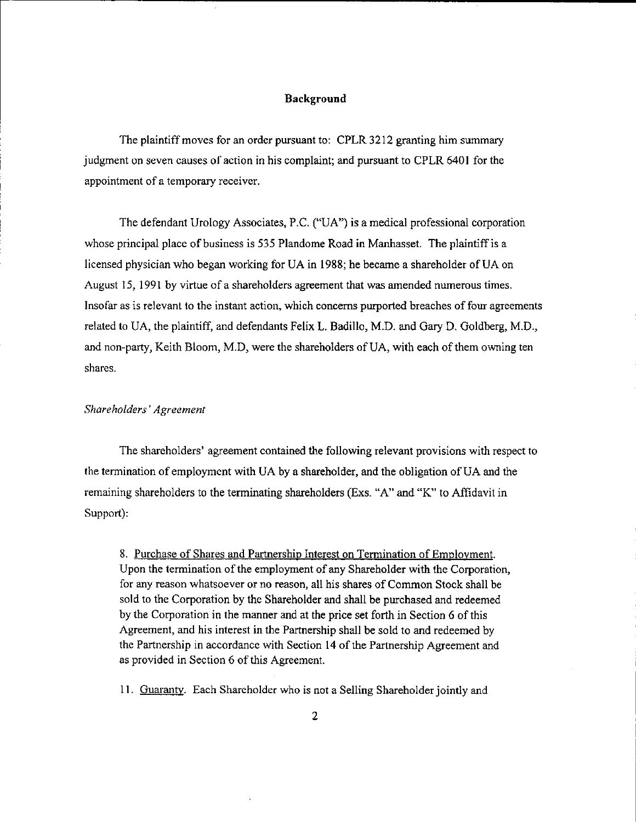#### Background

The plaintiff moves for an order pursuant to: CPLR 3212 granting him summary judgment on seven causes of action in his complaint; and pursuant to CPLR 6401 for the appointment of a temporary receiver.

The defendant Urology Associates, P.C. ("UA") is a medical professional corporation whose principal place of business is 535 Plandome Road in Manhasset. The plaintiff is a licensed physician who began working for UA in 1988; he became a shareholder of UA on August 15, 1991 by virtue of a shareholders agreement that was amended numerous times. Insofar as is relevant to the instant action, which concerns purported breaches of four agreements related to UA, the plaintiff, and defendants Felix L. Badillo, M.D. and Gary D. Goldberg, M.D., and non-party, Keith Bloom, M.D, were the shareholders of UA, with each of them owning ten shares.

#### Shareholders' Agreement

The shareholders' agreement contained the following relevant provisions with respect to the termination of employmcnt with UA by a shateholder, and the obligation of UA and the remaining shareholders to the terminating shareholders (Exs. "A' and "K" to Affidavit in Support):

8. Purchase of Shares and Partnership Interest on Termination of Employment. Upon the termination of the employment of any Shareholder with the Corporation, for any reason whatsoever or no reason, all his shares of Common Stock shall be sold to the Corporation by the Shareholder and shall be purchased and redeemed by the Corporation in the manner and at the price set forth in Section 6 of this Agreement, and his interest in the Partnership shall be sold to and redeemed by the Partnership in accordance with Section 14 of the Partnership Agreement and as provided in Section 6 of this Agreement.

11. Guaranty. Each Shareholder who is not a Selling Shareholder jointly and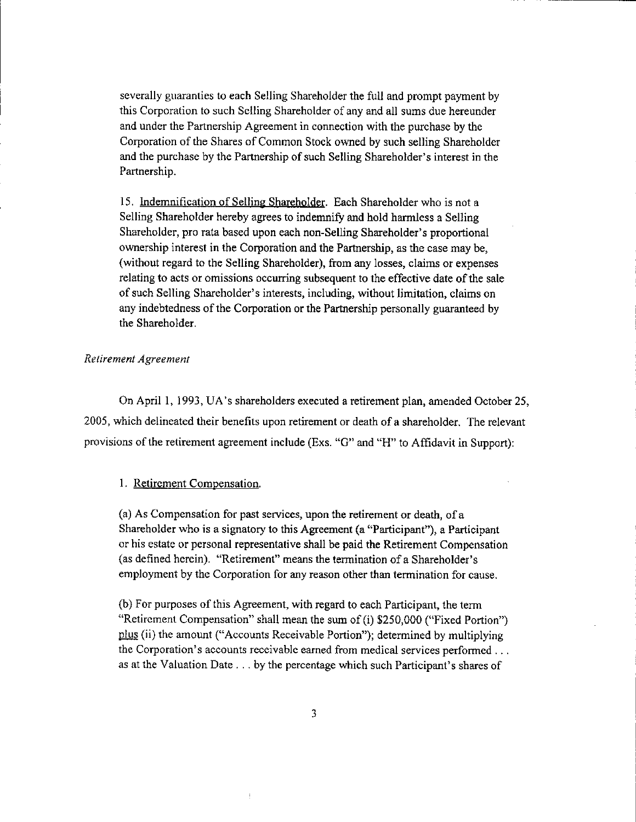severally guaranties to each Selling Shareholder the full and prompt payment by this Corporation to such Selling Shareholder of any and all sums due hereunder and under the Partnership Agreement in connection with the purchase by the Corporation of the Shares of Common Stock owned by such selling Shareholder and the purchase by the Partnership of such Selling Shareholder's interest in the Partnership.

15. Indemnification of Selling Shareholder. Each Shareholder who is not a Selling Shareholder hereby agrees to indemnify and hold harmless a Selling Shareholder, pro rata based upon each non-Selling Shareholder's proportional ownership interest in the Corporation and the Partnership, as the case may be, (without regard to the Selling Shareholder), from any losses, claims or expenses relating to acts or omissions occurring subsequent to the effective date of the sale of such Selling Shareholder's interests, including, without limitation, claims on any indebtedness of the Corporation or the Partnership personally guaranteed by the Shareholder.

#### Relirement Agreement

On April I, 1993, UA's shareholders executed a retirement plan, amended October 25, 2005, which delineated their benefits upon retirement or death of a shareholder. The relevant provisions of the retirement agreement include (Exs. "G" and "H" to Affidavit in Support):

#### 1. Retirement Compensation.

(a) As Compensation for past sewices, upon the retirement or death, ofa Shareholder who is a signatory to this Ageement (a "Participant"), a Participant or his estate or personal representative shall be paid the Retirement Compensation (as defined herein). "Retirement" means the termination of a Shareholder's employment by the Corporation for any reason other than termination for cause.

(b) For purposes of this Agreement, with regard to each Participant, the term "Retircment Compensation" shall mean the sum of (i) \$250,000 ("Fixed Portion") plus (ii) the amount ("Accounts Receivable Portion"); determined by multiplying the Corporation's accounts receivable earned from medical services performed . . . as at the Valuation Date . . . by the percentage which such Participant's shares of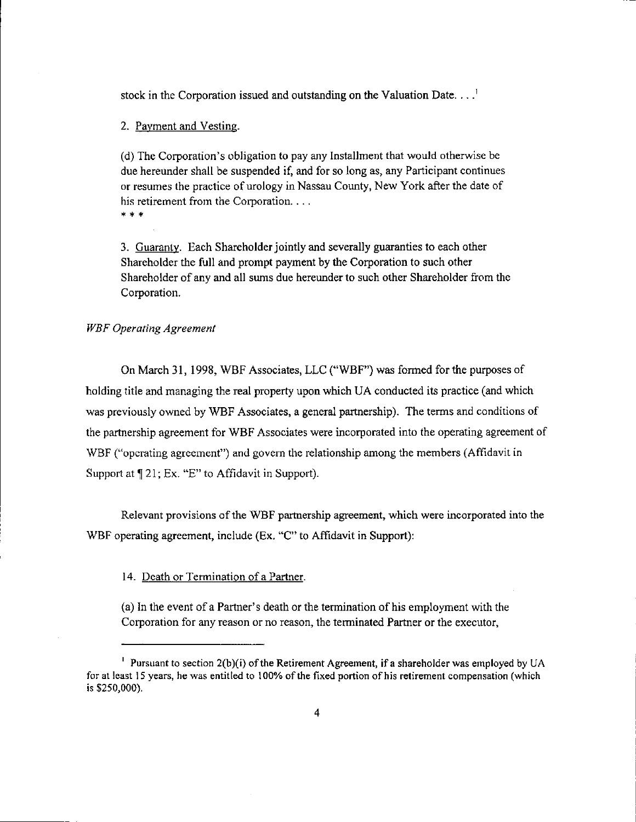stock in the Corporation issued and outstanding on the Valuation Date.  $\dots$ <sup>1</sup>

2. Pavment and Vestine.

(d) The Corporation's obligation to pay any Installment that would otherwise be due hereunder shall be suspended if, and for so long as, any Participant continues or resumes the practice of urology in Nassau County, New York after the date of his retirement from the Corporation. . . .

\* \* \*

3. Guaranty. Each Shareholder jointly and severally guaranties to each other Shareholder the full and prompt payment by the Corporation to such other Shareholder of any and all sums due hereunder to such other Shareholder from the Corporation.

## WBF Operating Agreement

On March 31, 1998, WBF Associates, LLC ("WBF') was formed for the purposes of holding title and managing the real property upon which UA conducted its practice (and which was previously owned by WBF Associates, a general partnership). The terms and conditions of the partnership agreement for WBF Associates were incorporated into the operating agreement of WBF ("opcrating agreement") and govern the relationship among the members (Affidavit in Support at  $\P$  21; Ex. "E" to Affidavit in Support).

Relevant provisions of the WBF partnership agreement, which were incorporated into the WBF operating agreement, include (Ex. "C" to Affidavit in Support):

14. Death or Termination of a Partner.

(a) In the event of a Partner's death or the termination of his employment with the Corporation for any reason or no reason, the terminated Partner or the executor,

<sup>&</sup>lt;sup>1</sup> Pursuant to section  $2(b)(i)$  of the Retirement Agreement, if a shareholder was employed by UA for at least 15 years, he was entitled to 100% of the fixed portion of his retirement compensation (which is \$250,000).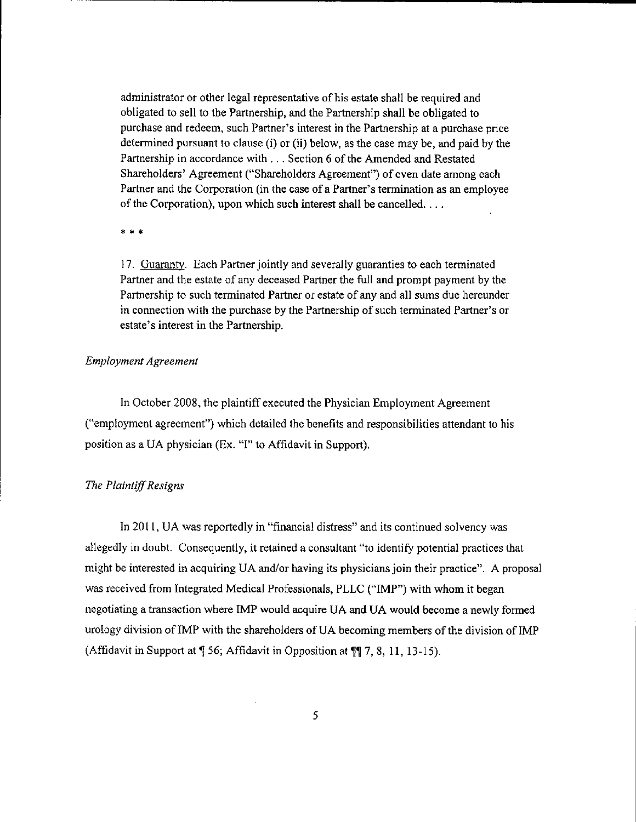administrator or other legal representative of his estate shall be required and obligated to sell to the Partnership, and the Partnership shall be obligated to purchase and redeem, such Partner's interest in the Partnership at a purchase price determined pursuant to clause (i) or (ii) below, as the case may be, and paid by the Partnership in accordance with . . . Section 6 of the Amended and Restated Shareholders' Agreement ("Shareholders Agreement") of even date among each Partner and the Corporation (in the case of a Partner's termination as an employee of the Corporation), upon which such interest shall be cancelled.  $\dots$ 

\* \* \*

17. Guaranty. Each Partner jointly and severally guaranties to each terminated Partner and the estate of any deceased Partner the full and prompt payment by the Partnership to such terminated Partner or estate of any and all sums due hereunder in connection with the purchase by the Partnership of such terminated Partner's or estate's interest in the Partnership.

## Employmenl Agreement

In October 2008, the plaintiff executed the Physician Employment Agreement ("employment agreement") which detailed the benefits and responsibilities attendant to his position as a UA physician (Ex. "I" to Affidavit in Support).

#### The Plaintiff Resigns

In 2011, UA was reportedly in "financial distress" and its continued solvency was allegedly in doubt. Consequently, it retained a consultant "to identify potential practices that might be interested in acquiring UA and/or having its physicians join their practice". A proposal was received from Integrated Medical Professionals, PLLC ("IMP") with whom it began negoliating a transaction where IMP would acquire UA and UA would become a newly formed urology division of IMP with the shareholders of UA becoming members of the division of IMP (Affidavit in Support at  $\parallel$  56; Affidavit in Opposition at  $\P$ [ 7, 8, 11, 13-15).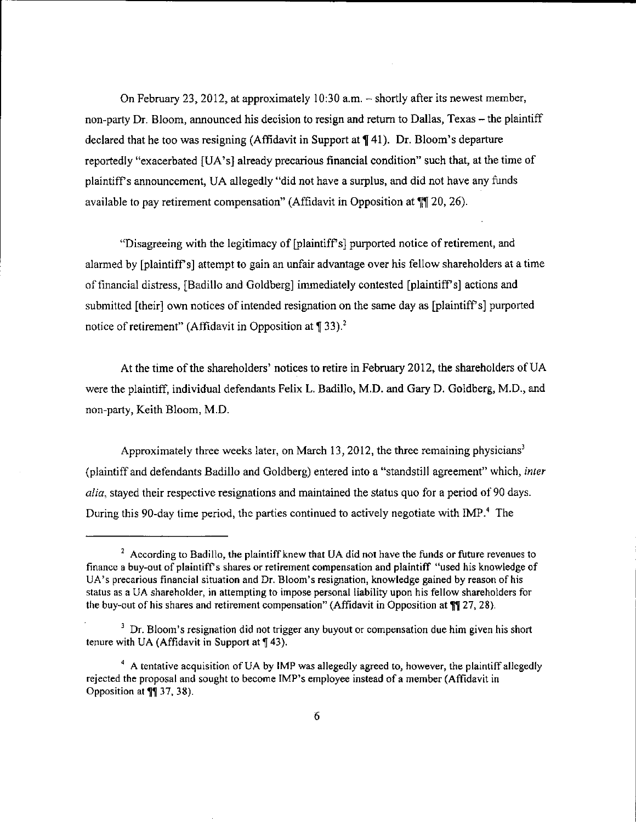On February 23, 2012, at approximately 10:30 a.m.  $-$  shortly after its newest member, non-party Dr. Bloom, announced his decision to resign and return to Dallas, Texas – the plaintiff declared that he too was resigning (Affidavit in Support at  $\P$  41). Dr. Bloom's departure reportedly "exacerbated [UA's] already precarious financial condition" such that, at the time of plaintiffs announcement, UA allegedly "did not have a surplus, and did not have any funds available to pay retirement compensation" (Affidavit in Opposition at  $\P$ [20, 26).

"Disagreeing with the legitimacy of [plaintiff's] purported notice of retirement, and alarmed by [plaintiffs] attempt to gain an unfair advantage over his fellow shareholders at a time offlnancial distress, [Badillo and Goldberg] immediately contested [plaintiffs] acticns and submitted [their] own notices of intended resignation on the same day as [plaintiffs] purported notice of retirement" (Affidavit in Opposition at  $\P$  33).<sup>2</sup>

At the time of the shareholders' notices to retire in February 2012, the shareholders of UA were the plaintiff, individual defendants Felix L. Badillo, M.D. and Gary D. Goldberg, M.D., and non-party, Keith Bloom, M.D.

Approximately three weeks later, on March 13, 2012, the three remaining physicians<sup>3</sup> (plaintiff and defendants Badillo and Goldberg) entered into a "standstill agreement" which, inter alia, stayed their respective resignations and maintained the status quo for a period of 90 days. During this 90-day time period, the parties continued to actively negotiate with iMP.4 The

 $2$  According to Badillo, the plaintiff knew that UA did not have the funds or future revenues to financc a buy-out of plaintiff s shares or retirement compensation and plaintiff "used his knowledge of UA's precarious financial situation and Dr. Bloom's resignation, knowledge gained by reason of his status as a UA shareholder, in attempting to impose personal liability upon his fellow shareholders for the buy-out of his shares and retirement compensation" (Affidavit in Opposition at  $\mathbb{N}$  27, 28).

 $3$  Dr. Bloom's resignation did not trigger any buyout or compensation due him given his short tenure with UA (Affidavit in Support at  $\P$  43).

 $4$  A tentative acquisition of UA by IMP was allegedly agreed to, however, the plaintiff allegedly rejected the proposal and sought to become IMP's employee instead of a member (Affidavit in Opposition at  $\P$ [ 37, 38).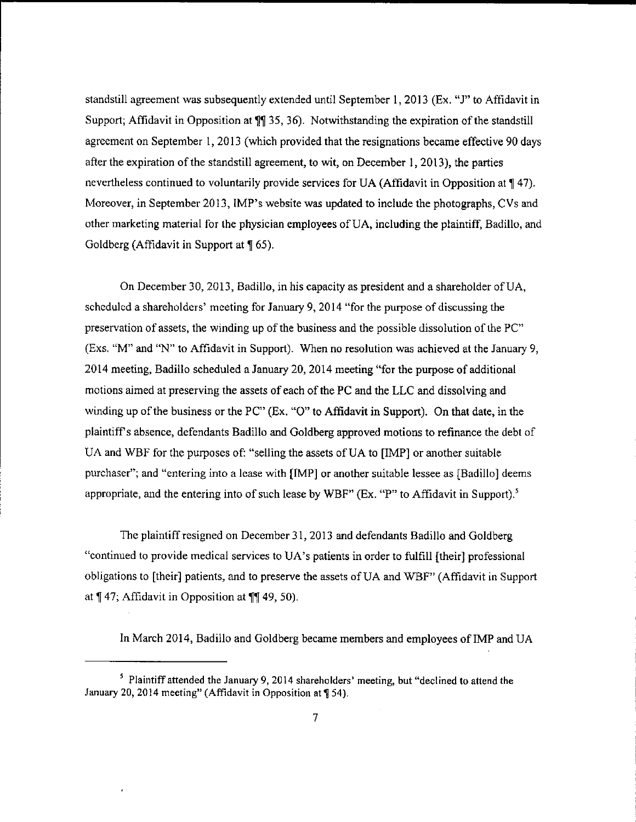standstill agreement was subsequently extended until September l, 2013 (Ex. "J" to Affidavit in Support; Affidavit in Opposition at  $\P$  35, 36). Notwithstanding the expiration of the standstill agreement on September 1, 2013 (which provided that the resignations became effective 90 days after the expiration of the standstill agreement, to wit, on December 1, 2013), the parties nevertheless continued to voluntarily provide services for UA (Affidavit in Opposition at 147). Moreover, in September 2013, IMP's website was updated to include the photographs, CVs and other marketing material for the physician employees of UA, including the plaintiff, Badillo, and Goldberg (Affidavit in Support at  $\sqrt{9}$  65).

On December 30, 2013, Badillo, in his capacity as president and a shareholder of UA, scheduled a shareholders' meeting for January 9, 2014 "for the purpose of discussing the preservation of assets, the winding up of the business and the possible dissolution of the  $PC$ " (Exs. "M" and "N" to Affidavit in Support). When no resolution was achieved at the January 9, 2014 meeting, Badillo scheduled a January 20, 2014 meeting "for the purpose of additional motions aimed at preserving the assets of each of the PC and the LLC and dissolving and winding up of the business or the PC" (Ex. "O" to Affidavit in Support). On that date, in the plaintifPs absence, defendants Badillo and Goldberg approved motions to refinance the debt of UA and WBF for the purposes of: "selling the assets of UA to [IMP] or another suitable purchaser"; and "entering into a lease with [IMP] or another suitable lessee as [Badillo] deems appropriate, and the entering into of such lease by WBF" (Ex. "P" to Affidavit in Support).<sup>5</sup>

Thc plaintiff resigned on December 31, 2013 and defendants Badillo and Goldberg "continued to provide medical services to UA's patients in order to fulfill [their] professional obligations to [Iheir] patients, and to preserve the assets ofUA and WBF" (Affidavit in Support at  $\P$  47; Affidavit in Opposition at  $\P$ [49, 50).

In March 2014, Badillo and Goldberg became members and employees of IMP and UA

 $<sup>5</sup>$  Plaintiff attended the January 9, 2014 shareholders' meeting, but "declined to attend the</sup> January 20, 2014 meeting" (Affidavit in Opposition at ¶ 54).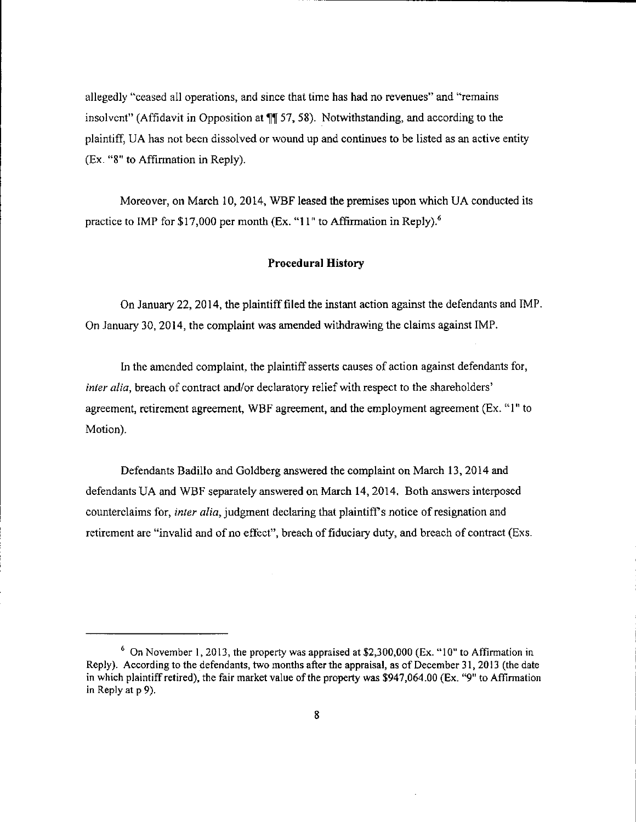allegedly "ceased all operations, and since that time has had no revenues" and "remains insolvent" (Affidavit in Opposition at  $\P$  57, 58). Notwithstanding, and according to the plaintiff, UA has not been dissolved or wound up and continues to be listed as an active entity (Ex. "8" to Affirmation in Reply).

Moreover, on March 10, 2014, WBF leased the premises upon which UA conducted its practice to IMP for \$17,000 per month (Ex. "11" to Affirmation in Reply).<sup>6</sup>

#### Procedural History

On January 22,2014, the plaintifffiled the instant action against the defendants and IMP On January 30, 2014, the complaint was amended withdrawing the claims against IMP.

In the amended complaint, the plaintiff asserts causes of action against defendants for, inter alia, breach of contract and/or declaratory relief with respect to the shareholders' agreement, retiremcnt agreement, WBF agreement, 4nd the employment agreement (Ex. "1" to Motion).

Defendants Badillo and Goldberg answered the complaint on March 13,2014 and defendants UA and WBF separately answered on March 14,2014, Both answers interposed counterclaims for, *inter alia*, judgment declaring that plaintiff's notice of resignation and retirement are "invalid and of no effect", breach of fiduciary duty, and breach of contract (Exs.

 $6$  On November 1, 2013, the property was appraised at \$2,300,000 (Ex. "10" to Affirmation in Reply). According to the defendants, two montls after the appraisal, as of December 31, 2013 (the date in which plaintiff retired), the fair market value of the property was \$947,064.00 (Ex. "9" to Affirmation in Reply at p 9).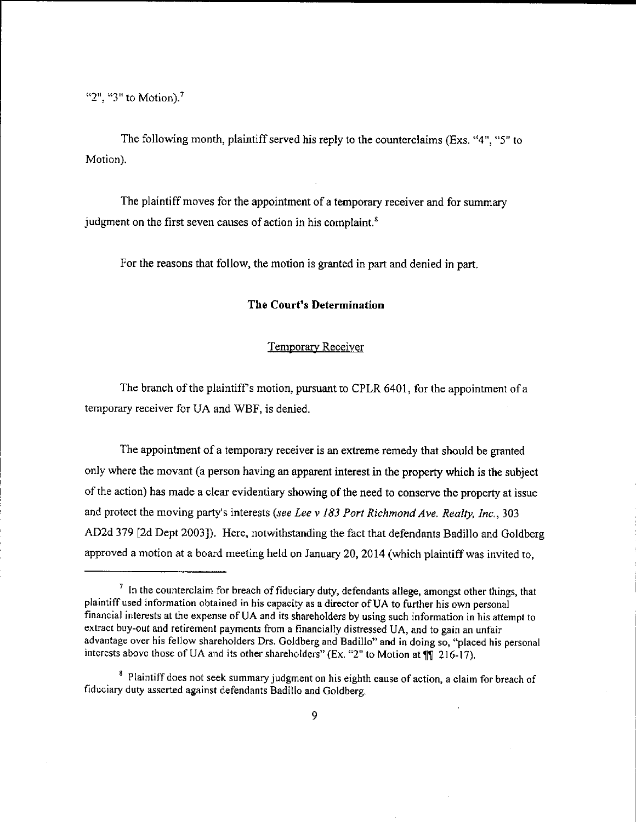" $2$ ", " $3$ " to Motion).<sup>7</sup>

The following month, plaintiff served his reply to the counterclaims (Exs. "4", "5" to Motion).

The plaintiff moves for the appointment of a temporary receiver and for summary judgment on the first seven causes of action in his complaint. $s$ 

For the reasons that follow, the motion is granted in part and denied in part.

## The Court's Determination

## Temporary Receiver

The branch of the plaintiff's motion, pursuant to CPLR 6401, for the appointment of a temporary receiver for UA and WBF, is denied.

The appointment of a temporary receiver is an extreme remedy that should be granted only where the movant (a person having an apparent interest in the property which is the subject of the action) has made a clear evidentiary showing of the need to conserve the property at issue and protect the moving party's interests (see Lee v 183 Port Richmond Ave. Realty, Inc., 303 AD2d 379 [2d Dept 2003]). Here, notwithstanding the fact that defendants Badillo and Goldberg approved a motion at a board meeting held on January 20, 2014 (which plaintiff was invited to,

 $\frac{1}{1}$  In the counterclaim for breach of fiduciary duty, defendants allege, amongst other things, that plaintiff used information obtained in his capacity as a director of UA to further his own personal financial interests at the expense ofUA and its shareholders by using such information in his attempt to extract buy-out and retirement payments from a financially distressed UA, and to gain an unfair advantage over his fellow sharehoiders Drs. Goldberg and Badillo" and in doing so, "placed his personal interests above those of UA and its other shareholders" (Ex, "2" to Motion at  $\mathbb{I}$ " (216-17).

<sup>&</sup>lt;sup>8</sup> Plaintiff does not seek summary judgment on his eighth cause of action, a claim for breach of fiduciary duty asscrted against defendants Badillo and Goldberg.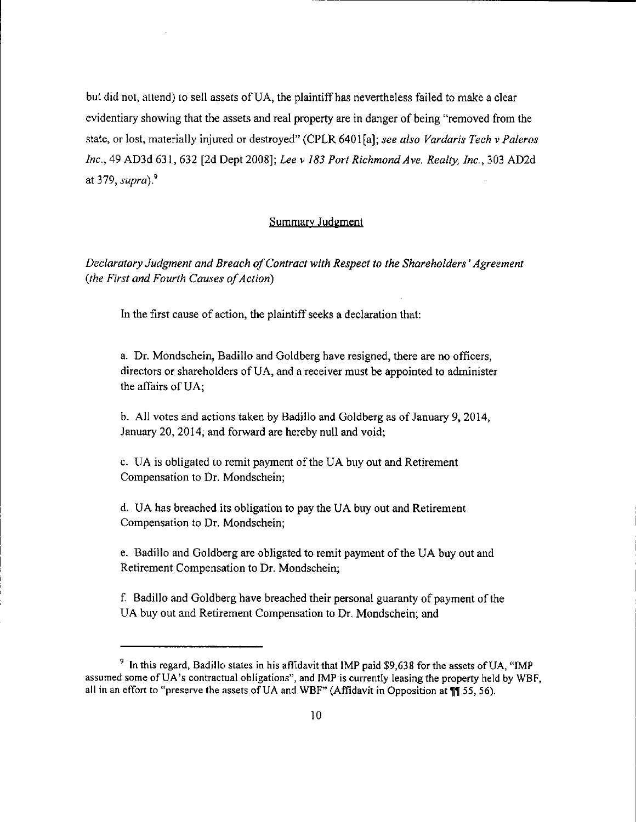but did not, attend) to sell assets oFUA, the plaintiffhas nevertheless failed to make a clear evidentiary showing that the assets and real property are in danger of being "removed from the state, or lost, materially injured or destroyed" (CPLR 6401[a]; see also Vardaris Tech v Paleros Inc.,49 AD3d 631,632 [2d Dept 2008]; Lee v 183 Port Richmond Ave. Realty, 1nc.,303 AD2d at 379, supra). $9$ 

## Summary Judgment

Declaratory Judgment and Breach of Contract with Respect to the Shareholders' Agreement (the First and Fourth Causes of Action)

In the first cause of action, the plaintiff seeks a declaration that:

a. Dr. Mondschein, Badillo and Goldberg have resigned, there are no officers, directors or shareholders of UA, and a receiver must be appointed to administer the affairs of UA;

b. All votes and actions taken by Badillo and Goldberg as of January 9,2014, January 20, 2014; and forward are hereby null and void;

c. UA is obligated to remit payment of the UA buy out and Retirement Compensation to Dr. Mondschein;

d. UA has breached its obligation to pay the UA buy out and Retirement Compensation to Dr. Mondschein;

e. Badillo and Goldberg are obligated to remit payment of the UA buy out and Retirement Compensation to Dr. Mondschein;

f. Badillo and Goldberg have breached their personal guaranty of payment of the UA buy out and Retirement Compensation to Dr, Mondschein; and

 $\degree$  In this regard, Badillo states in his affidavit that IMP paid \$9,638 for the assets of UA, "IMP assumed some of  $\overline{UA}$ 's contractual obligations", and IMP is currently leasing the property held by WBF, all in an effort to "preserve the assets of UA and WBF" (Affidavit in Opposition at  $\P$  55, 56).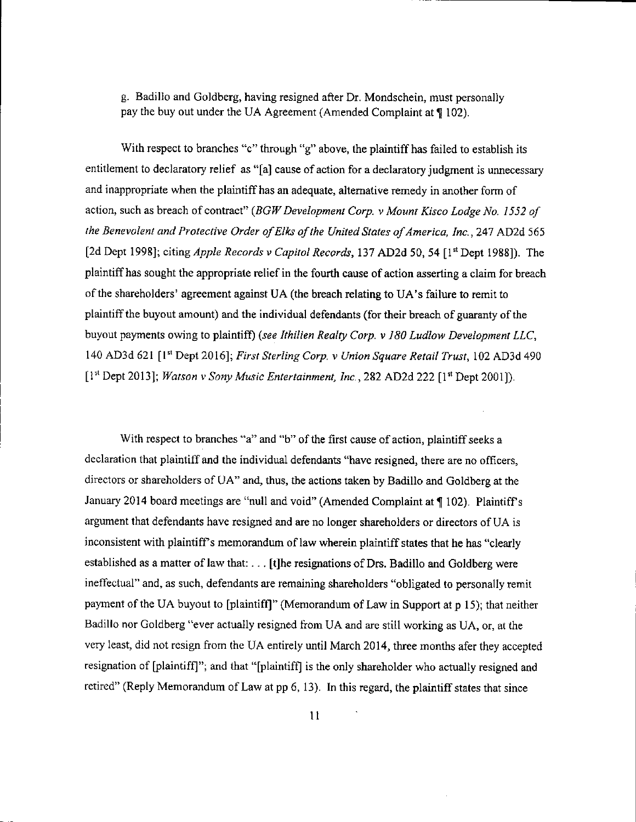g. Badillo and Goldberg, having resigned after Dr. Mondschein, must personally pay the buy out under the UA Agreement (Amended Complaint at  $\P$  102).

With respect to branches "c" through "g" above, the plaintiff has failed to establish its entitlement to declaratory relief as "[a] cause of action for a declaratory judgment is unnecessary and inappropriate when the plaintiffhas an adequate, altemative remedy in another form of action, such as breach of contract" (BGW Development Corp. v Mount Kisco Lodge No. 1552 of the Benevolent and Protective Order of Elks of the United States of America, lnc.,247 AD2d 565 [2d Dept 1998]; citing *Apple Records v Capitol Records*, 137 AD2d 50, 54 [1<sup>st</sup> Dept 1988]). The plaintiff has sought the appropriate relief in the fourth cause of action asserting a claim for breach of the shareholders' agreement against UA (the breach relating to UA's failure to remit to plaintiff the buyout amount) and the individual defendants (for their breach of guaranty of the buyout payments owing to plaintiff) (see Ithilien Realty Corp. v 180 Ludlow Development LLC, 140 AD3d 621 [1st Dept 2016]; First Sterling Corp. v Union Square Retail Trust, 102 AD3d 490  $[1<sup>st</sup>$  Dept 2013]; *Watson v Sony Music Entertainment, Inc.*, 282 AD2d 222  $[1<sup>st</sup>$  Dept 2001]).

With respect to branches "a" and "b" of the first cause of action, plaintiff seeks a declaration that plaintiff and the individual defendants "have resigned, there are no officers, directors or shareholders of UA" and, thus, the actions taken by Badillo and Goldberg at the January 2014 board meetings are "null and void" (Amended Complaint at ¶ 102). Plaintiff's argument lhat defendants have resigned and are no longer shareholders or directors ofUA is inconsistent with plaintiff's memorandum of law wherein plaintiff states that he has "clearly established as a matter of law that: . - . [t]he resignations of Drs. Badillo and Goldberg were ineffectual" and, as such, defendants are remaining shareholders "obligated to personally remit payment of the UA buyout to [plaintiff]" (Memorandum of Law in Support at p 15); that neither Badillo nor Goldberg "ever actually resigned from UA and are still working as UA, or, at the very least, did not resign from (he UA entirely until March 2014, three months afer they accepted resignation of [plaintiffl"; and that "[plaintiffj is the only shareholder who actually resigned and retired" (Reply Memorandum of Law at pp 6, 13). In this regard, the plaintiff states that since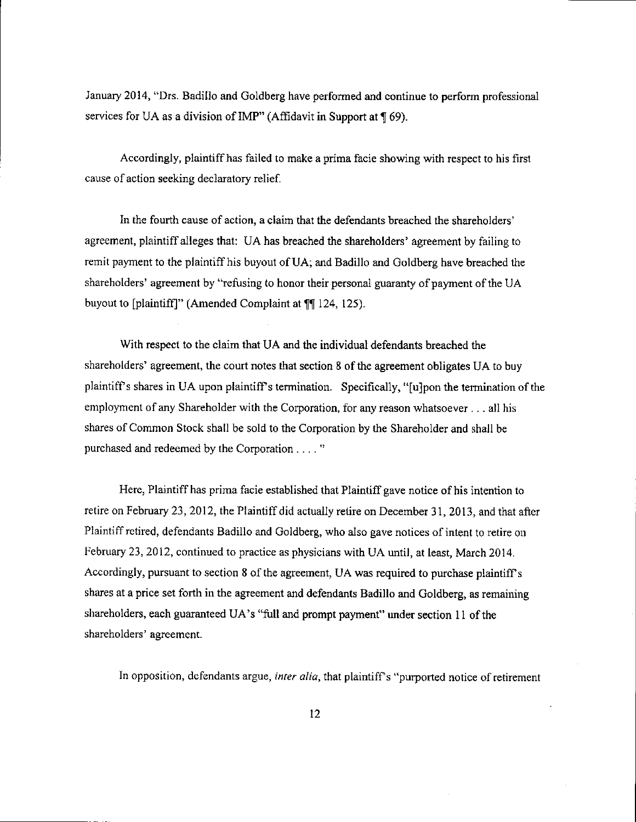January 2014, "Drs. Badillo and Goldberg have performed and continue to perform professional services for UA as a division of IMP" (Affidavit in Support at  $\P$  69).

Accordingly, plaintiff has failed to make a prima facie showing with respect to his first cause of action seeking declaratory relief.

In the fourth cause of action, a claim that the defendants breached the shareholders' agreement, plaintiff alleges that: UA has breached the shareholders' agreement by failing to remit payment to the plaintiff his buyout of UA; and Badillo and Goldberg have breached the shareholders' agreement by "refusing to honor their personal guaranty of payment of the UA buyout to [plaintiff]" (Amended Complaint at ¶[ 124, 125).

With respect to the claim that UA and the individual defendants breached the shareholders' agreement, the court notes that section 8 of the agreement obligates UA to buy plaintiff's shares in UA upon plaintiff's termination. Specifically, "[u]pon the termination of the employment of any Shareholder with the Corporation, for any reason whatsoever  $\dots$  all his shares of Common Stock shall be sold to the Corporation by the Shareholder and shall be purchased and redeemed by the Corporation . . . . "

Here, Plaintiff has prima facie established that Plaintiff gave notice of his intention to retire on February 23, 2012, the Plaintiff did actually retire on December 31, 2013, and that after Plaintiff retired, defendants Badillo and Goldberg, who also gave notices of intent to retire on Irebruary 23,2012, continued to practice as physicians with UA until, at least, March 2014. Accordingly, pursuant to section  $8$  of the agreement, UA was required to purchase plaintiff's shares at a price set forth in the agreement and defendants Badillo and Goldberg, as remaining shareholders, each guaranteed UA's "full and prompt payment" under section 11 of the shareholders' agreement.

In opposition, defendants argue, inter alia, that plaintiff's "purported notice of retirement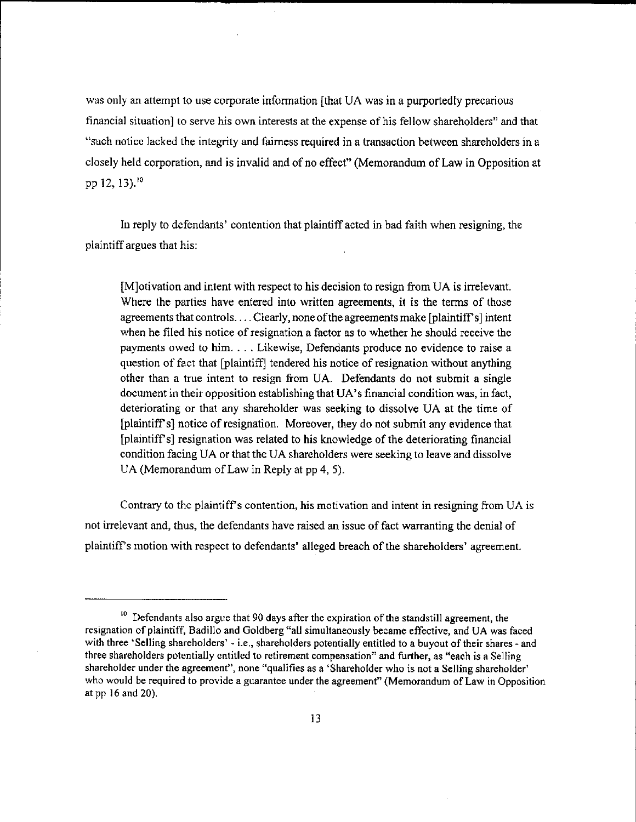was only an attempt to use corporate information [that UA was in a purportedly precarious financial situation] to serve his own interests at the expense of his fellow shareholders" and that "such notice lacked the integrity and fa'imess required in a transaction between shareholders in a closely held corporation, and is invalid and of no effect" (Memorandum of Law in Opposition at pp 12, 13).<sup>10</sup>

h reply to defendants' contention that plaintiff acted in bad faith when resigning, the plaintiff argues that his:

[M]otivation and intent with respect to his decision to resign from UA is irrelevant. Where the parties have entered into written agreements, it is the terms of those agreements that controls. . . . Clearly, none ofthe agreements make [plaintiffs] intent when he filed his notice of resignation a factor as to whether he should receive the payments owed to him. . . . Likewise, Defendants produce no evidence to raise a question of fact that [plaintiff] tendered his notice of resignation without anything other than a true intent to resign fiom UA. Defendants do not submit a single document in their opposition establishing that UA's frnancial condition was, in fact, deteriorating or that any shareholder was seeking to dissolve UA at the time of [plaintiff's] notice of resignation. Moreover, they do not submit any evidence that [plaintiffs] resignation was related to his knowledge of the deteriorating financial condition facing UA or that the UA shareholders were seeking to leave and dissolve UA (Memorandum of Law in Reply at pp 4, 5).

Contrary to the plaintiff's contention, his motivation and intent in resigning from UA is not irrelevant and, thus, the defendants have raised an issue of fact warranting the denial of plaintiffs motion with respect to defendants' alleged breach of the shareholders' agreement.

 $10$  Defendants also argue that 90 days after the expiration of the standstill agreement, the resignation of plaintiff, Badillo and Goldberg "all simultaneously became effective, and UA was faced with three 'Selling shareholders' - i.e., shareholders potentially entitled to a buyout of their shares - and three shareholders potentially cntitled to retirement compensation" and further, as "each is a Selling shareholder under the agreement", none "qualifies as a 'Shareholder who is not a Selling shareholder' who would be required to provide a guarantee under the agreement" (Memorandum of Law in Opposition at pp l6 and 20).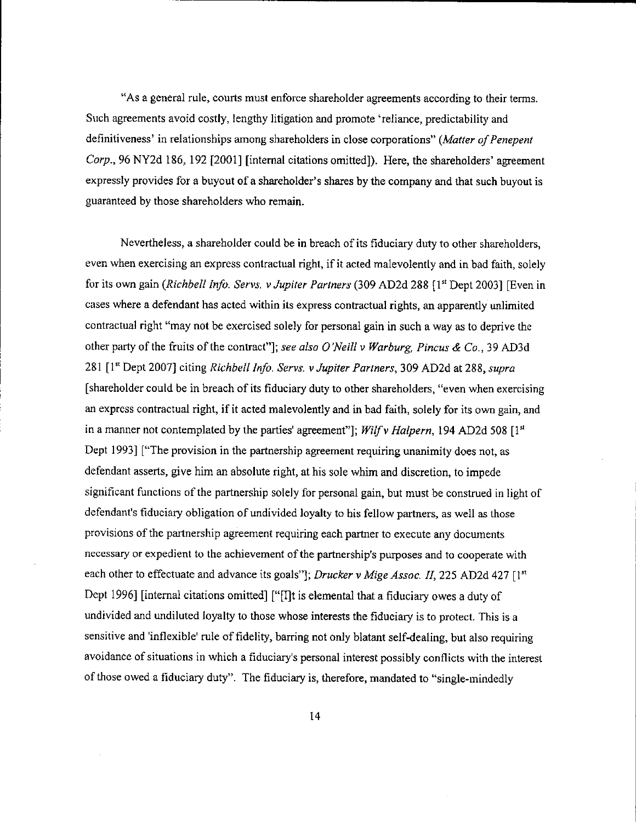"As a gcneral rule, courts must enforce shareholder agreements according to their terms. Such agreements avoid costly, lengthy litigation and promote 'reliance, predictability and definitiveness' in relationships among shareholders in close corporations" (Matter of Penepent Corp.,96NY2d 186, 192 [2001] [intemal citations omitted]). Here, the shareholders' agreement expressly provides for a buyout of a shareholder's shares by the company and that such buyout is guaranteed by those shareholders who remain.

Nevertheless, a shareholder could be in breach of its fiduciary duty to other shareholders, even when exercising an express contractual right, if it acted malevolently and in bad faith, solely for its own gain (Richbell Info. Servs. v Jupiter Partners (309 AD2d 288 [1st Dept 2003] [Even in cases where a defendant has acted within its express contractual rights, an apparently unlimited contractual right "may not be exercised solely for personal gain in such a way as to deprive the other party of the fruits of the contract"]; see also O'Neill v Warburg, Pincus & Co., 39 AD3d 281 [1st Dept 2007] citing Richbell Info. Servs. v Jupiter Partners, 309 AD2d at 288, supra [shareholder could be in breach of its fiduciary duty to other shareholders, "even when exercising an express contractual right, if it acted malevolently and in bad faith, solely for its own gain, and in a manner not contemplated by the parties' agreement"]; Wilf v Halpern, 194 AD2d 508  $[1<sup>st</sup>]$ Dept 1993] ["The provision in the partnership agreement requiring unanimity does not, as defendant asserts, give him an absolute right, at his sole whim and discretion, to impede significant functions of the partnership solely for personal gain, but must be construed in light of defendant's fiduciary obligation of undivided loyalty to his fellow partners, as well as those provisions of the partnership agreement requiring each partner to execute any documents necessary or expedient to the achievement of the partnership's purposes and to cooperate with each other to effectuate and advance its goals"]; Drucker v Mige Assoc. II, 225 AD2d 427 [1st] Dept 1996] [internal citations omitted] ["[I]t is elemental that a fiduciary owes a duty of undivided and undiluted loyalty to those whose interests the fiduciary is to protect. This is a sensitive and 'inflexible' rule of fidelity, barring not only blatant self-dealing, but also requiring avoidance of situations in which a fiduciary's personal interest possibly conflicts with the interest of those owed a fiduciary duty". The fiduciary is, therefore, mandated to "single-rnindedly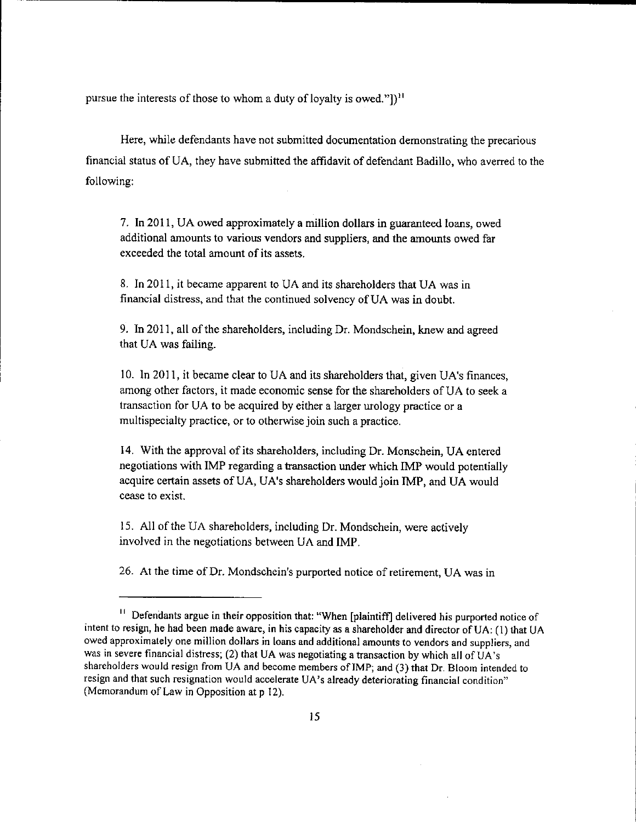pursue the interests of those to whom a duty of loyalty is owed."])<sup>11</sup>

Here, while defendants have not submitted documentation demonstrating the precarious financial status of UA, they have submitted the affidavit of defendant Badillo, who averred to the following:

7. In 2011, UA owed approximately a million dollars in guaranteed loans, owed additional amounts to various vendors and suppliers, and the amounts owed far exceeded the total amount of its assets.

8. In 201 1, it became apparent to UA and its shareholders that UA was in financial distress, and that the continued solvency of UA was in doubt.

9. In 2011, all of the shareholders, including Dr. Mondschein, knew and agreed that UA was failing.

10. In 2011, it became clear to UA and its shareholders that, given UA's finances, among other factors, it made economic sense for the shareholders of UA to seek a transaction for UA to be acquired by either a larger urology practice or a multispecialty practice, or to otherwise join such a practice.

14. With the approval of its shareholders, including Dr. Monschein, UA entered negotiations with IMP regarding a transaction under which IMP would potentially acquire certain assets of UA, UA's shareholders would join IMP, and UA would cease to exist.

15. All of the UA shareholders, including Dr. Mondschein, were actively involved in the negotiations between UA and IMP.

26. AI the time of Dr. Mondschein's purported notice of retirement, UA was in

<sup>&</sup>quot; Defendants argue in their opposition that: "When [plaintiffl delivered his purported notice of intent to resign, he had been made aware, in his capacity as a shareholder and director of UA: (1) that UA owed approximately one million dollars in loans and additional amounts to vendors and suppliers, and was in severe financial distress; (2) that UA was negotiating a transaction by which all of UA's shareholders would resign from UA and become members of IMP; and (3) that Dr. Bloom intended to resign and that such resignation would accelerate UA's already deteriorating financial condition" (Memorandum of Law in Opposition at p 12).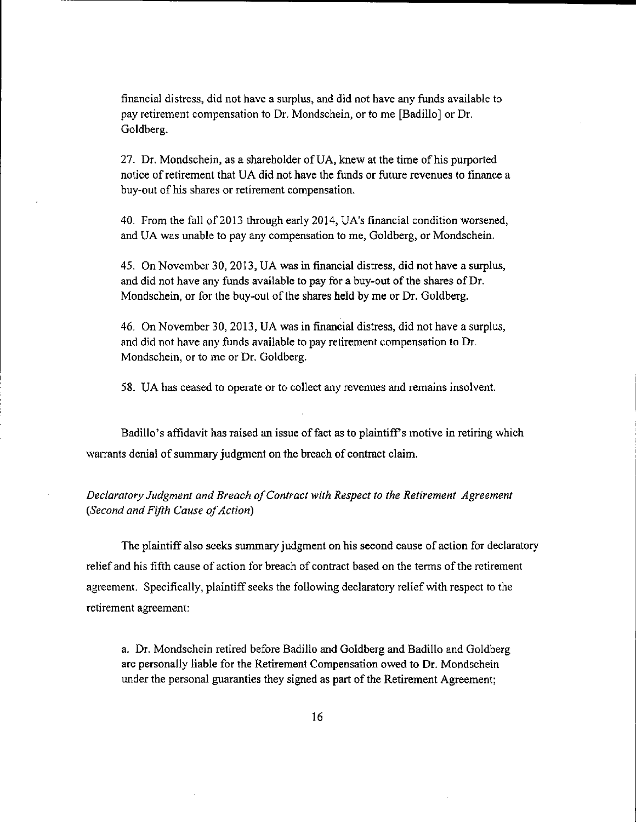financial distress, did not have a surplus, and did not have any funds available to pay retirement compensation to Dr. Mondschein, or to me [Badillo] or Dr. Goldberg.

27. Dr. Mondschein, as a shareholder of UA, knew at the time of his purported notice of retirement that UA did not have the funds or future revenues to tinance a buy-out of his shares or retirement compensation.

40. From the fall of 2013 through early 2014, UA's financial condition worsened, and UA was unable to pay any compensation to me, Goldberg, or Mondschein.

45. On November 30,2013, UA was in financial distress, did not have a surplus, and did not have any funds available to pay for a buy-out of the shares of Dr. Mondschein, or for the buy-out of the shares held by me or Dr. Goldberg.

46. On November 30,2013, UA was in financial distress, did not have a surplus, and did not have any funds available to pay retirement compensation to Dr. Mondschein, or to me or Dr. Goldberg.

58. UA has ceased to operate or to collect any revenues and remains insolvent.

Badillo's affidavit has raised an issue of fact as to plaintiff s motive in retiring which warrants denial of summary judgment on the breach of contract claim.

## Declaratory Judgment and Breach of Contract with Respect to the Retirement Agreement (Second and Fifth Cause of Action)

The plaintiff also seeks summary judgment on his second cause of action for declaratory relief and his fifth cause of action for breach of contract based on the terms of the retirement agreement. Specifically, plaintiff seeks the following declaratory relief with respect to the retirement agreement:

a. Dr. Mondschein retired before Badillo and Goldberg and Badillo and Goldberg are personally liable for the Retirement Compensation owed to Dr. Mondschein under the personal guaranties they signed as part of the Retirement Agreement;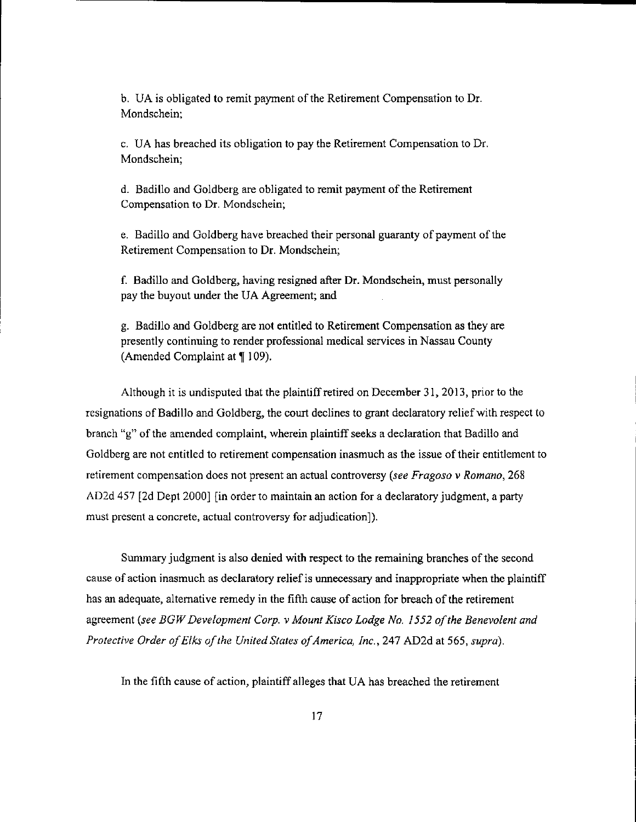b. UA is obligated to remit payment of the Retirement Compensation to Dr. Mondschein;

c. UA has breached its obligation to pay the Reiirement Compensation to Dr. Mondschein;

d. Badillo and Goldberg are obligated to remit payment of the Retirement Compensation to Dr. Mondschein;

e. Badillo and Goldberg have breached their personal guaranty of payment of the Retirement Compensation to Dr. Mondschein;

f. Badillo and Goldberg, having resigned after Dr. Mondschein, must personally pay the buyout under the UA Agreement; and

g. Badillo and Coldberg are not entitled to Retirement Compensation as they are presently continuing to render professional medical services in Nassau County (Amended Complaint at  $\P$  109).

Although it is undisputed tbat the plaintiff retired on December 3I, 2013, prior to the resignations of Badillo and Goldberg, the court declines to grant declaratory relief with respect to branch "g" of the amended complaint, wherein plaintiff seeks a declaration that Badillo and Goldberg are not entitled to retirement compensation inasmuch as the issue of their entitlement to retirement compensation does not present an actual controversy (see Fragoso  $\nu$  Romano, 268) AD2d 457 [2d Dept 2000] [in order to maintain an action for a declaratory judgment, a party must present a concrete, actual controversy for adjudication]).

Summary judgment is also denied with respect to the remaining branches of the second cause of action inasmuch as declaratory relief is unnecessary and inappropriate when the plaintiff has an adequate, alternative remedy in the fifth cause of action for breach of the retirement agreement (see BGW Development Corp. v Mount Kisco Lodge No. 1552 of the Benevolent and Protective Order of Elks of the United States of America, Inc., 247 AD2d at 565, supra).

In the fifth cause of action, plaintiff alleges that UA has breached the retirement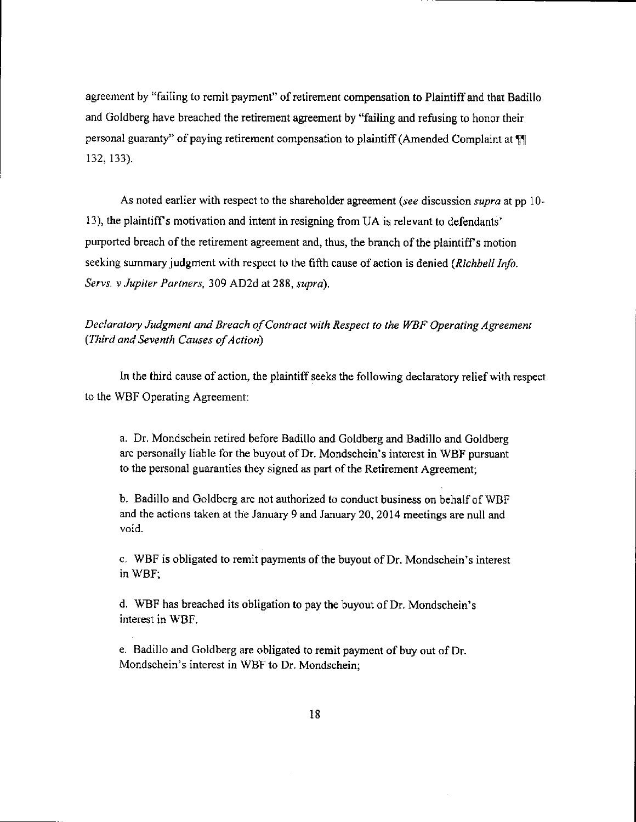agreement by "failing to remit payment" of retirement compensation to Plaintiff and that Badillo and Goldberg have breached the retirement agreement by "failing and refusing to honor their personal guaranty" of paying retirement compensation to plaintiff (Amended Complaint at " 132. 133).

As noted earlier with respect to the shareholder agreement (see discussion supra at pp 10l3), the plaintiffs motivation and intent in resigning from UA is relevant to defendants' purported breach of the retirement agreement and, thus, the branch of the plaintiff's motion seeking summary judgment with respect to the fifth cause of action is denied (Richbell Info. Servs. v Jupiter Partners, 309 AD2d at 288, supra).

# Declaratory Judgment and Breach of Contract with Respect to the WBF Operating Agreement (Third and Seventh Causes of Action)

In the third cause of action, the plaintiff seeks the following declaratory relief with respect to the WBF Operating Agreement:

a. Dr. Mondschein retired before Badillo and Goldberg and Badillo and Goldberg are personally liable for the buyout ofDr. Mondschein's interest in WBF pursuant to the personal guaranties they signed as part of the Retirement Agreement;

b. Badillo and Goldberg are not authorized to conduct business on behalf of WBF and the actions taken at the January 9 and January 20, 2014 meetings are null and void.

c. WBF is obligated to remit payments of the buyout of Dr. Mondschein's interest in WBF;

d. WBF has breached its obligation to pay the buyout of Dr. Mondschein's interest in WBF.

e. Badillo and Goldberg are obligated to remit payment of buy out of Dr. Mondschein's interest in WBF to Dr. Mondschein;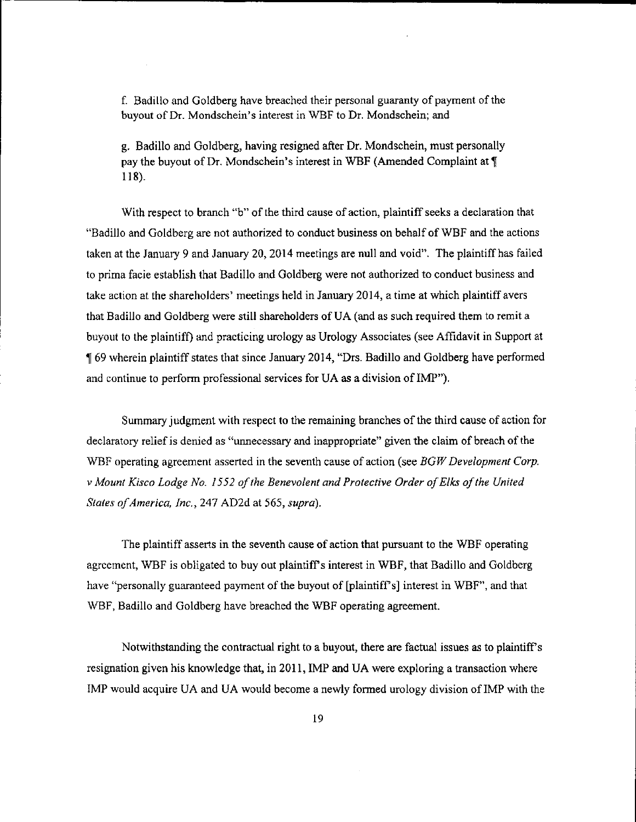f. Badillo and Goldberg have breached their personal guaranty of payment of the buyout of Dr. Mondschein's interest in WBF to Dr. Mondschein; and

g. Badillo and Goldberg, having resigned after Dr. Mondschein, must personally pay the buyout of Dr. Mondschein's interest in WBF (Amended Complaint at \[ 118).

With respect to branch "b" of the third cause of action, plaintiff seeks a declaration that "Badillo and Goldberg are not authorized to conduct business on behalf of WBF and the actions taken at the January 9 and January 20, 2014 meetings are null and void". The plaintiff has failed to prima facie establish that Badillo and Goldberg were not authorized to conduct business and take action at the shareholders' meetings held in January 2014, a tirne at which plaintiff avers that Badillo and Goldberg were still shareholders of UA (and as such required them to remit a buyout to the plaintiff) and practicing urology as Urology Associates (see Affidavit in Support at fl 69 rvherein plaintiffstates that since January 2014, "Drs. Badillo and Goldberg have performed and continue to perform professional services for UA as a division of IMP").

Summary judgment with respect to the remaining branches of the third cause of action for declaratory reliefis denied as "unnecessary and inappropriate" given the claim of breach of the WBF operating agreement asserted in the seventh cause of action (see  $BGW$  Development Corp. v Mount Kisco Lodge No. 1552 of the Benevolent and Protective Order of Elks of the United States of America, Inc., 247 AD2d at 565, supra).

The plaintiff asserts in the seventh cause of action that pursuant to the WBF operating agrcement, WBF is obligated to buy out plairtiffs interest in WBF, that Badillo and Goldberg have "personally guaranteed payment of the buyout of [plaintiff's] interest in WBF", and that WBF, Badillo and Goldberg have breached the WBF operating agreement.

Notwithstanding the contractual right to a buyout, there are factual issues as to plaintiffs resignation given his knowledge that, in 201I, IMP and UA were exploring a transaction where IMP would acquire UA and UA would become a newly formed urology division of IMP with the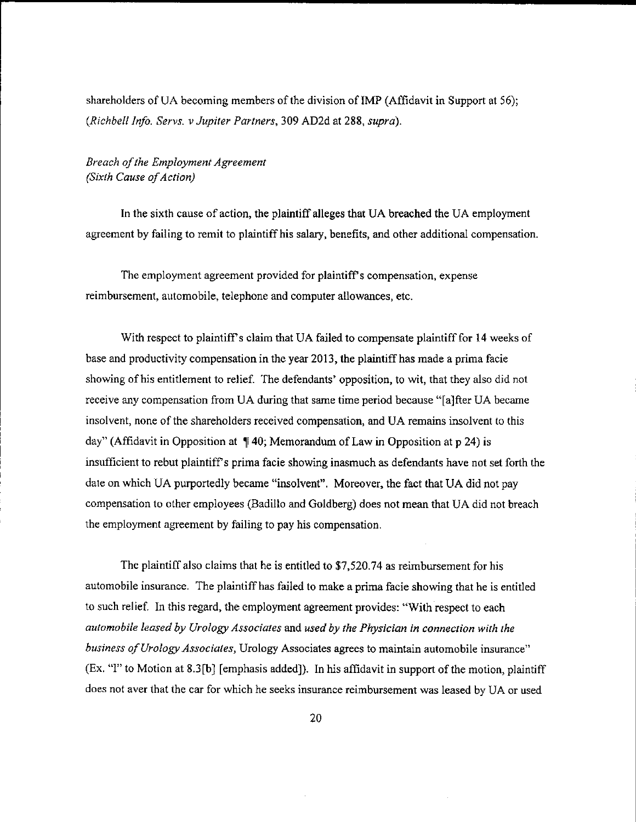shareholders of UA becoming members of the division of IMP (Affidavit in Support at 56); (Richbell Info. Servs. v Jupiter Partners, 309 AD2d at 288, supra).

# Breach of the Employment Agreement (Sixth Cause of Action)

In the sixth cause of action, the plaintiff alleges that UA breached the UA employment agreement by failing to remit to plaintiffhis salary, benefits, and other additional compensation.

The employment agreement provided for plaintiff s compensation, expense reimbursement, automobile, telephone and computer allowances, etc.

With respect to plaintiff's claim that UA failed to compensate plaintiff for 14 weeks of base and productivity compensation in the year 2013, the plaintiff has made a prima facie showing of his entitlement to relief. The defendants' opposition, to wit, that they also did not receive any compensation from UA during that same time period because "fa]fter UA became insolvent, none of the shareholders received compensation, and UA remains insolvent to this day" (Affidavit in Opposition at  $\P$  40; Memorandum of Law in Opposition at p 24) is insufficient to rebut plaintiff's prima facie showing inasmuch as defendants have not set forth the date on which UA purportedly became "insolvent". Moreover, the fact that UA did not pay compensation 10 other employees (Badillo and Goldberg) does not mean that UA did not breach the employment agreement by failing to pay his compensation.

The plaintiff also claims that he is entitled to \$7,520.74 as reimbursement for his automobile insurance. The plaintiff has failed to make a prima facie showing that he is entitled to such relief. In this regard, the employment agreement provides: "With respect to each automobile leased by Urology Associates and used by the Physician in connection with the business of Urology Associates, Urology Associates agrees to maintain automobile insurance" (Ex. "1" to Motion at 8.3 [b] [emphasis added]). In his affidavit in support of the motion, plaintiff does not aver that the car for which he seeks insurance reimbursement was leased by UA or used